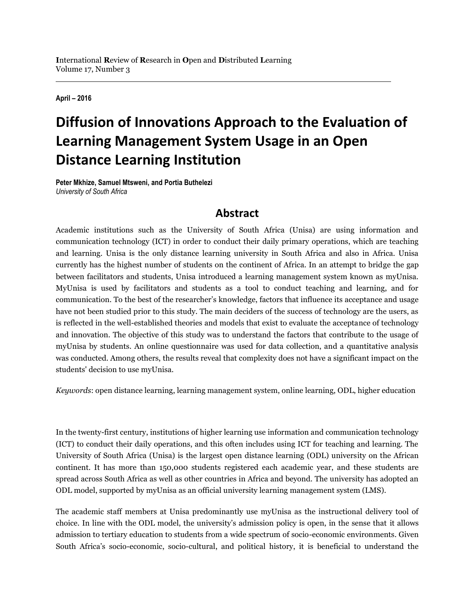**April – 2016**

# **Diffusion of Innovations Approach to the Evaluation of Learning Management System Usage in an Open Distance Learning Institution**

**Peter Mkhize, Samuel Mtsweni, and Portia Buthelezi** *University of South Africa*

### **Abstract**

Academic institutions such as the University of South Africa (Unisa) are using information and communication technology (ICT) in order to conduct their daily primary operations, which are teaching and learning. Unisa is the only distance learning university in South Africa and also in Africa. Unisa currently has the highest number of students on the continent of Africa. In an attempt to bridge the gap between facilitators and students, Unisa introduced a learning management system known as myUnisa. MyUnisa is used by facilitators and students as a tool to conduct teaching and learning, and for communication. To the best of the researcher's knowledge, factors that influence its acceptance and usage have not been studied prior to this study. The main deciders of the success of technology are the users, as is reflected in the well-established theories and models that exist to evaluate the acceptance of technology and innovation. The objective of this study was to understand the factors that contribute to the usage of myUnisa by students. An online questionnaire was used for data collection, and a quantitative analysis was conducted. Among others, the results reveal that complexity does not have a significant impact on the students' decision to use myUnisa.

*Keywords*: open distance learning, learning management system, online learning, ODL, higher education

In the twenty-first century, institutions of higher learning use information and communication technology (ICT) to conduct their daily operations, and this often includes using ICT for teaching and learning. The University of South Africa (Unisa) is the largest open distance learning (ODL) university on the African continent. It has more than 150,000 students registered each academic year, and these students are spread across South Africa as well as other countries in Africa and beyond. The university has adopted an ODL model, supported by myUnisa as an official university learning management system (LMS).

The academic staff members at Unisa predominantly use myUnisa as the instructional delivery tool of choice. In line with the ODL model, the university's admission policy is open, in the sense that it allows admission to tertiary education to students from a wide spectrum of socio-economic environments. Given South Africa's socio-economic, socio-cultural, and political history, it is beneficial to understand the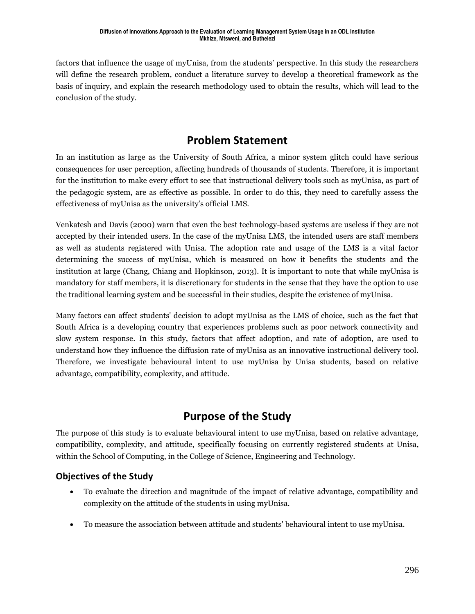factors that influence the usage of myUnisa, from the students' perspective. In this study the researchers will define the research problem, conduct a literature survey to develop a theoretical framework as the basis of inquiry, and explain the research methodology used to obtain the results, which will lead to the conclusion of the study.

## **Problem Statement**

In an institution as large as the University of South Africa, a minor system glitch could have serious consequences for user perception, affecting hundreds of thousands of students. Therefore, it is important for the institution to make every effort to see that instructional delivery tools such as myUnisa, as part of the pedagogic system, are as effective as possible. In order to do this, they need to carefully assess the effectiveness of myUnisa as the university's official LMS.

Venkatesh and Davis (2000) warn that even the best technology-based systems are useless if they are not accepted by their intended users. In the case of the myUnisa LMS, the intended users are staff members as well as students registered with Unisa. The adoption rate and usage of the LMS is a vital factor determining the success of myUnisa, which is measured on how it benefits the students and the institution at large (Chang, Chiang and Hopkinson, 2013). It is important to note that while myUnisa is mandatory for staff members, it is discretionary for students in the sense that they have the option to use the traditional learning system and be successful in their studies, despite the existence of myUnisa.

Many factors can affect students' decision to adopt myUnisa as the LMS of choice, such as the fact that South Africa is a developing country that experiences problems such as poor network connectivity and slow system response. In this study, factors that affect adoption, and rate of adoption, are used to understand how they influence the diffusion rate of myUnisa as an innovative instructional delivery tool. Therefore, we investigate behavioural intent to use myUnisa by Unisa students, based on relative advantage, compatibility, complexity, and attitude.

# **Purpose of the Study**

The purpose of this study is to evaluate behavioural intent to use myUnisa, based on relative advantage, compatibility, complexity, and attitude, specifically focusing on currently registered students at Unisa, within the School of Computing, in the College of Science, Engineering and Technology.

### **Objectives of the Study**

- To evaluate the direction and magnitude of the impact of relative advantage, compatibility and complexity on the attitude of the students in using myUnisa.
- To measure the association between attitude and students' behavioural intent to use myUnisa.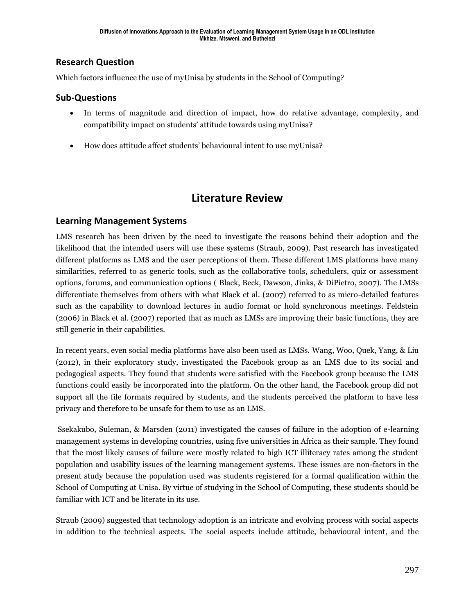#### **Research Question**

Which factors influence the use of myUnisa by students in the School of Computing?

#### **Sub-Questions**

- In terms of magnitude and direction of impact, how do relative advantage, complexity, and compatibility impact on students' attitude towards using myUnisa?
- How does attitude affect students' behavioural intent to use myUnisa?

### **Literature Review**

#### **Learning Management Systems**

LMS research has been driven by the need to investigate the reasons behind their adoption and the likelihood that the intended users will use these systems (Straub, 2009). Past research has investigated different platforms as LMS and the user perceptions of them. These different LMS platforms have many similarities, referred to as generic tools, such as the collaborative tools, schedulers, quiz or assessment options, forums, and communication options ( Black, Beck, Dawson, Jinks, & DiPietro, 2007). The LMSs differentiate themselves from others with what Black et al. (2007) referred to as micro-detailed features such as the capability to download lectures in audio format or hold synchronous meetings. Feldstein (2006) in Black et al. (2007) reported that as much as LMSs are improving their basic functions, they are still generic in their capabilities.

In recent years, even social media platforms have also been used as LMSs. Wang, Woo, Quek, Yang, & Liu (2012), in their exploratory study, investigated the Facebook group as an LMS due to its social and pedagogical aspects. They found that students were satisfied with the Facebook group because the LMS functions could easily be incorporated into the platform. On the other hand, the Facebook group did not support all the file formats required by students, and the students perceived the platform to have less privacy and therefore to be unsafe for them to use as an LMS.

Ssekakubo, Suleman, & Marsden (2011) investigated the causes of failure in the adoption of e-learning management systems in developing countries, using five universities in Africa as their sample. They found that the most likely causes of failure were mostly related to high ICT illiteracy rates among the student population and usability issues of the learning management systems. These issues are non-factors in the present study because the population used was students registered for a formal qualification within the School of Computing at Unisa. By virtue of studying in the School of Computing, these students should be familiar with ICT and be literate in its use.

Straub (2009) suggested that technology adoption is an intricate and evolving process with social aspects in addition to the technical aspects. The social aspects include attitude, behavioural intent, and the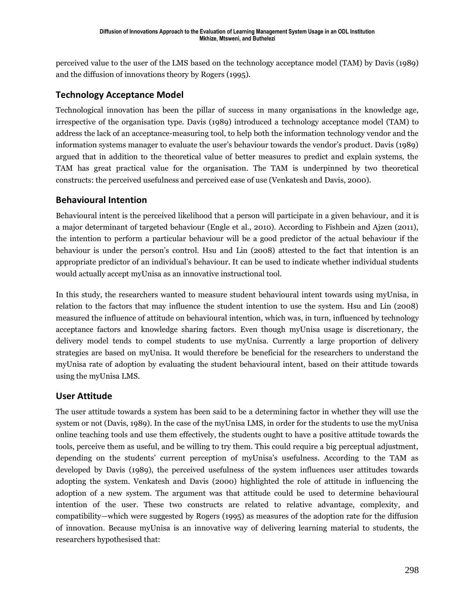perceived value to the user of the LMS based on the technology acceptance model (TAM) by Davis (1989) and the diffusion of innovations theory by Rogers (1995).

### **Technology Acceptance Model**

Technological innovation has been the pillar of success in many organisations in the knowledge age, irrespective of the organisation type. Davis (1989) introduced a technology acceptance model (TAM) to address the lack of an acceptance-measuring tool, to help both the information technology vendor and the information systems manager to evaluate the user's behaviour towards the vendor's product. Davis (1989) argued that in addition to the theoretical value of better measures to predict and explain systems, the TAM has great practical value for the organisation. The TAM is underpinned by two theoretical constructs: the perceived usefulness and perceived ease of use (Venkatesh and Davis, 2000).

### **Behavioural Intention**

Behavioural intent is the perceived likelihood that a person will participate in a given behaviour, and it is a major determinant of targeted behaviour (Engle et al., 2010). According to Fishbein and Ajzen (2011), the intention to perform a particular behaviour will be a good predictor of the actual behaviour if the behaviour is under the person's control. Hsu and Lin (2008) attested to the fact that intention is an appropriate predictor of an individual's behaviour. It can be used to indicate whether individual students would actually accept myUnisa as an innovative instructional tool.

In this study, the researchers wanted to measure student behavioural intent towards using myUnisa, in relation to the factors that may influence the student intention to use the system. Hsu and Lin (2008) measured the influence of attitude on behavioural intention, which was, in turn, influenced by technology acceptance factors and knowledge sharing factors. Even though myUnisa usage is discretionary, the delivery model tends to compel students to use myUnisa. Currently a large proportion of delivery strategies are based on myUnisa. It would therefore be beneficial for the researchers to understand the myUnisa rate of adoption by evaluating the student behavioural intent, based on their attitude towards using the myUnisa LMS.

#### **User Attitude**

The user attitude towards a system has been said to be a determining factor in whether they will use the system or not (Davis, 1989). In the case of the myUnisa LMS, in order for the students to use the myUnisa online teaching tools and use them effectively, the students ought to have a positive attitude towards the tools, perceive them as useful, and be willing to try them. This could require a big perceptual adjustment, depending on the students' current perception of myUnisa's usefulness. According to the TAM as developed by Davis (1989), the perceived usefulness of the system influences user attitudes towards adopting the system. Venkatesh and Davis (2000) highlighted the role of attitude in influencing the adoption of a new system. The argument was that attitude could be used to determine behavioural intention of the user. These two constructs are related to relative advantage, complexity, and compatibility—which were suggested by Rogers (1995) as measures of the adoption rate for the diffusion of innovation. Because myUnisa is an innovative way of delivering learning material to students, the researchers hypothesised that: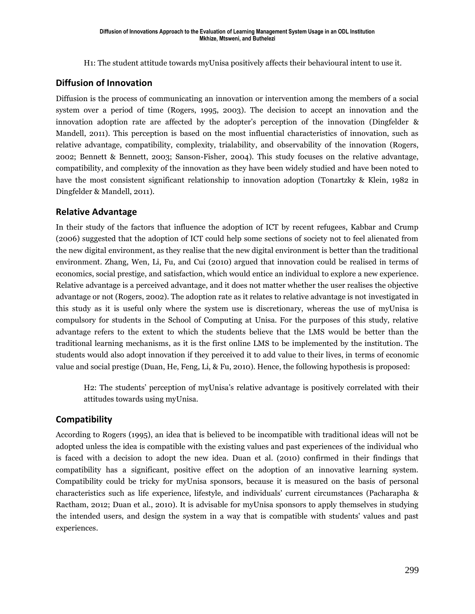H1: The student attitude towards myUnisa positively affects their behavioural intent to use it.

#### **Diffusion of Innovation**

Diffusion is the process of communicating an innovation or intervention among the members of a social system over a period of time (Rogers, 1995, 2003). The decision to accept an innovation and the innovation adoption rate are affected by the adopter's perception of the innovation (Dingfelder & Mandell, 2011). This perception is based on the most influential characteristics of innovation, such as relative advantage, compatibility, complexity, trialability, and observability of the innovation (Rogers, 2002; Bennett & Bennett, 2003; Sanson-Fisher, 2004). This study focuses on the relative advantage, compatibility, and complexity of the innovation as they have been widely studied and have been noted to have the most consistent significant relationship to innovation adoption (Tonartzky & Klein, 1982 in Dingfelder & Mandell, 2011).

#### **Relative Advantage**

In their study of the factors that influence the adoption of ICT by recent refugees, Kabbar and Crump (2006) suggested that the adoption of ICT could help some sections of society not to feel alienated from the new digital environment, as they realise that the new digital environment is better than the traditional environment. Zhang, Wen, Li, Fu, and Cui (2010) argued that innovation could be realised in terms of economics, social prestige, and satisfaction, which would entice an individual to explore a new experience. Relative advantage is a perceived advantage, and it does not matter whether the user realises the objective advantage or not (Rogers, 2002). The adoption rate as it relates to relative advantage is not investigated in this study as it is useful only where the system use is discretionary, whereas the use of myUnisa is compulsory for students in the School of Computing at Unisa. For the purposes of this study, relative advantage refers to the extent to which the students believe that the LMS would be better than the traditional learning mechanisms, as it is the first online LMS to be implemented by the institution. The students would also adopt innovation if they perceived it to add value to their lives, in terms of economic value and social prestige (Duan, He, Feng, Li, & Fu, 2010). Hence, the following hypothesis is proposed:

H2: The students' perception of myUnisa's relative advantage is positively correlated with their attitudes towards using myUnisa.

#### **Compatibility**

According to Rogers (1995), an idea that is believed to be incompatible with traditional ideas will not be adopted unless the idea is compatible with the existing values and past experiences of the individual who is faced with a decision to adopt the new idea. Duan et al. (2010) confirmed in their findings that compatibility has a significant, positive effect on the adoption of an innovative learning system. Compatibility could be tricky for myUnisa sponsors, because it is measured on the basis of personal characteristics such as life experience, lifestyle, and individuals' current circumstances (Pacharapha & Ractham, 2012; Duan et al., 2010). It is advisable for myUnisa sponsors to apply themselves in studying the intended users, and design the system in a way that is compatible with students' values and past experiences.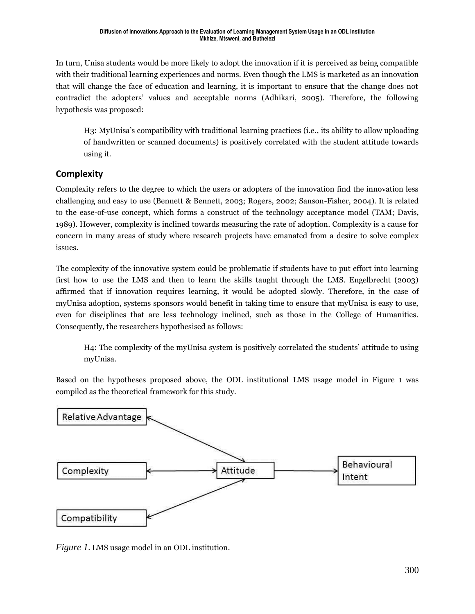In turn, Unisa students would be more likely to adopt the innovation if it is perceived as being compatible with their traditional learning experiences and norms. Even though the LMS is marketed as an innovation that will change the face of education and learning, it is important to ensure that the change does not contradict the adopters' values and acceptable norms (Adhikari, 2005). Therefore, the following hypothesis was proposed:

H3: MyUnisa's compatibility with traditional learning practices (i.e., its ability to allow uploading of handwritten or scanned documents) is positively correlated with the student attitude towards using it.

### **Complexity**

Complexity refers to the degree to which the users or adopters of the innovation find the innovation less challenging and easy to use (Bennett & Bennett, 2003; Rogers, 2002; Sanson-Fisher, 2004). It is related to the ease-of-use concept, which forms a construct of the technology acceptance model (TAM; Davis, 1989). However, complexity is inclined towards measuring the rate of adoption. Complexity is a cause for concern in many areas of study where research projects have emanated from a desire to solve complex issues.

The complexity of the innovative system could be problematic if students have to put effort into learning first how to use the LMS and then to learn the skills taught through the LMS. Engelbrecht (2003) affirmed that if innovation requires learning, it would be adopted slowly. Therefore, in the case of myUnisa adoption, systems sponsors would benefit in taking time to ensure that myUnisa is easy to use, even for disciplines that are less technology inclined, such as those in the College of Humanities. Consequently, the researchers hypothesised as follows:

H4: The complexity of the myUnisa system is positively correlated the students' attitude to using myUnisa.

Based on the hypotheses proposed above, the ODL institutional LMS usage model in Figure 1 was compiled as the theoretical framework for this study.



*Figure 1*. LMS usage model in an ODL institution.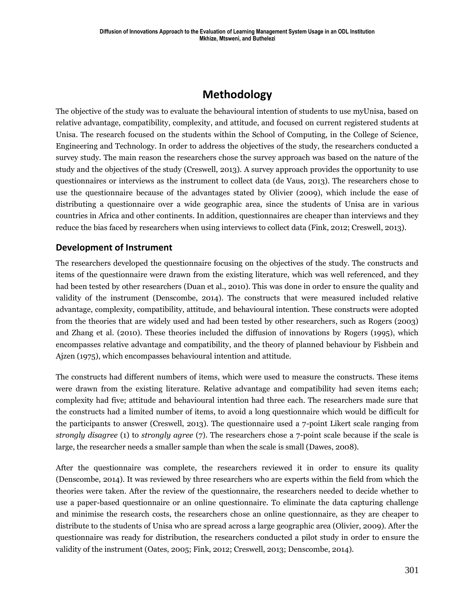## **Methodology**

The objective of the study was to evaluate the behavioural intention of students to use myUnisa, based on relative advantage, compatibility, complexity, and attitude, and focused on current registered students at Unisa. The research focused on the students within the School of Computing, in the College of Science, Engineering and Technology. In order to address the objectives of the study, the researchers conducted a survey study. The main reason the researchers chose the survey approach was based on the nature of the study and the objectives of the study (Creswell, 2013). A survey approach provides the opportunity to use questionnaires or interviews as the instrument to collect data (de Vaus, 2013). The researchers chose to use the questionnaire because of the advantages stated by Olivier (2009), which include the ease of distributing a questionnaire over a wide geographic area, since the students of Unisa are in various countries in Africa and other continents. In addition, questionnaires are cheaper than interviews and they reduce the bias faced by researchers when using interviews to collect data (Fink, 2012; Creswell, 2013).

#### **Development of Instrument**

The researchers developed the questionnaire focusing on the objectives of the study. The constructs and items of the questionnaire were drawn from the existing literature, which was well referenced, and they had been tested by other researchers (Duan et al., 2010). This was done in order to ensure the quality and validity of the instrument (Denscombe, 2014). The constructs that were measured included relative advantage, complexity, compatibility, attitude, and behavioural intention. These constructs were adopted from the theories that are widely used and had been tested by other researchers, such as Rogers (2003) and Zhang et al. (2010). These theories included the diffusion of innovations by Rogers (1995), which encompasses relative advantage and compatibility, and the theory of planned behaviour by Fishbein and Ajzen (1975), which encompasses behavioural intention and attitude.

The constructs had different numbers of items, which were used to measure the constructs. These items were drawn from the existing literature. Relative advantage and compatibility had seven items each; complexity had five; attitude and behavioural intention had three each. The researchers made sure that the constructs had a limited number of items, to avoid a long questionnaire which would be difficult for the participants to answer (Creswell, 2013). The questionnaire used a 7-point Likert scale ranging from *strongly disagree* (1) to *strongly agree* (7). The researchers chose a 7-point scale because if the scale is large, the researcher needs a smaller sample than when the scale is small (Dawes, 2008).

After the questionnaire was complete, the researchers reviewed it in order to ensure its quality (Denscombe, 2014). It was reviewed by three researchers who are experts within the field from which the theories were taken. After the review of the questionnaire, the researchers needed to decide whether to use a paper-based questionnaire or an online questionnaire. To eliminate the data capturing challenge and minimise the research costs, the researchers chose an online questionnaire, as they are cheaper to distribute to the students of Unisa who are spread across a large geographic area (Olivier, 2009). After the questionnaire was ready for distribution, the researchers conducted a pilot study in order to ensure the validity of the instrument (Oates, 2005; Fink, 2012; Creswell, 2013; Denscombe, 2014).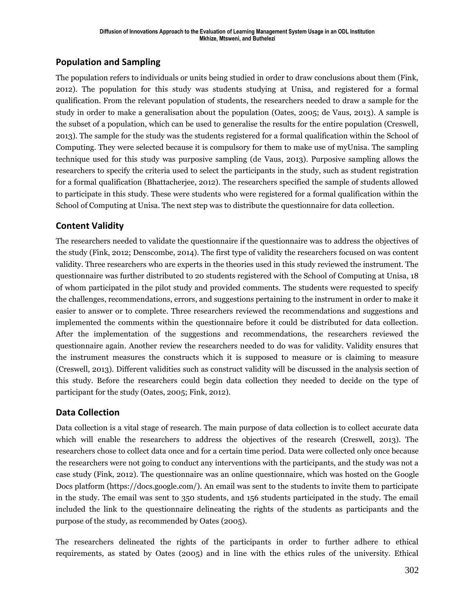### **Population and Sampling**

The population refers to individuals or units being studied in order to draw conclusions about them (Fink, 2012). The population for this study was students studying at Unisa, and registered for a formal qualification. From the relevant population of students, the researchers needed to draw a sample for the study in order to make a generalisation about the population (Oates, 2005; de Vaus, 2013). A sample is the subset of a population, which can be used to generalise the results for the entire population (Creswell, 2013). The sample for the study was the students registered for a formal qualification within the School of Computing. They were selected because it is compulsory for them to make use of myUnisa. The sampling technique used for this study was purposive sampling (de Vaus, 2013). Purposive sampling allows the researchers to specify the criteria used to select the participants in the study, such as student registration for a formal qualification (Bhattacherjee, 2012). The researchers specified the sample of students allowed to participate in this study. These were students who were registered for a formal qualification within the School of Computing at Unisa. The next step was to distribute the questionnaire for data collection.

#### **Content Validity**

The researchers needed to validate the questionnaire if the questionnaire was to address the objectives of the study (Fink, 2012; Denscombe, 2014). The first type of validity the researchers focused on was content validity. Three researchers who are experts in the theories used in this study reviewed the instrument. The questionnaire was further distributed to 20 students registered with the School of Computing at Unisa, 18 of whom participated in the pilot study and provided comments. The students were requested to specify the challenges, recommendations, errors, and suggestions pertaining to the instrument in order to make it easier to answer or to complete. Three researchers reviewed the recommendations and suggestions and implemented the comments within the questionnaire before it could be distributed for data collection. After the implementation of the suggestions and recommendations, the researchers reviewed the questionnaire again. Another review the researchers needed to do was for validity. Validity ensures that the instrument measures the constructs which it is supposed to measure or is claiming to measure (Creswell, 2013). Different validities such as construct validity will be discussed in the analysis section of this study. Before the researchers could begin data collection they needed to decide on the type of participant for the study (Oates, 2005; Fink, 2012).

#### **Data Collection**

Data collection is a vital stage of research. The main purpose of data collection is to collect accurate data which will enable the researchers to address the objectives of the research (Creswell, 2013). The researchers chose to collect data once and for a certain time period. Data were collected only once because the researchers were not going to conduct any interventions with the participants, and the study was not a case study (Fink, 2012). The questionnaire was an online questionnaire, which was hosted on the Google Docs platform (https://docs.google.com/). An email was sent to the students to invite them to participate in the study. The email was sent to 350 students, and 156 students participated in the study. The email included the link to the questionnaire delineating the rights of the students as participants and the purpose of the study, as recommended by Oates (2005).

The researchers delineated the rights of the participants in order to further adhere to ethical requirements, as stated by Oates (2005) and in line with the ethics rules of the university. Ethical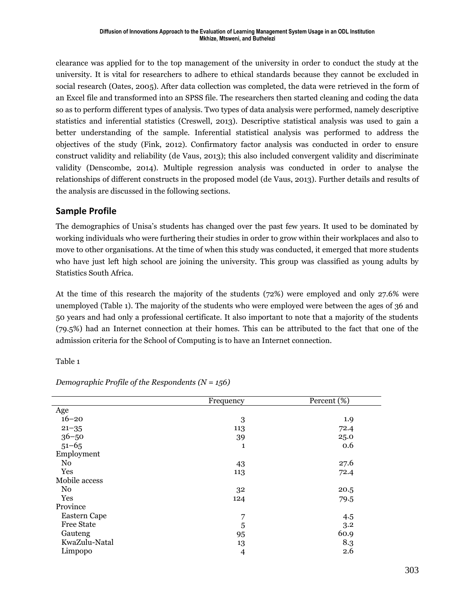clearance was applied for to the top management of the university in order to conduct the study at the university. It is vital for researchers to adhere to ethical standards because they cannot be excluded in social research (Oates, 2005). After data collection was completed, the data were retrieved in the form of an Excel file and transformed into an SPSS file. The researchers then started cleaning and coding the data so as to perform different types of analysis. Two types of data analysis were performed, namely descriptive statistics and inferential statistics (Creswell, 2013). Descriptive statistical analysis was used to gain a better understanding of the sample. Inferential statistical analysis was performed to address the objectives of the study (Fink, 2012). Confirmatory factor analysis was conducted in order to ensure construct validity and reliability (de Vaus, 2013); this also included convergent validity and discriminate validity (Denscombe, 2014). Multiple regression analysis was conducted in order to analyse the relationships of different constructs in the proposed model (de Vaus, 2013). Further details and results of the analysis are discussed in the following sections.

### **Sample Profile**

The demographics of Unisa's students has changed over the past few years. It used to be dominated by working individuals who were furthering their studies in order to grow within their workplaces and also to move to other organisations. At the time of when this study was conducted, it emerged that more students who have just left high school are joining the university. This group was classified as young adults by Statistics South Africa.

At the time of this research the majority of the students (72%) were employed and only 27.6% were unemployed (Table 1). The majority of the students who were employed were between the ages of 36 and 50 years and had only a professional certificate. It also important to note that a majority of the students (79.5%) had an Internet connection at their homes. This can be attributed to the fact that one of the admission criteria for the School of Computing is to have an Internet connection.

Table 1

|                   | Frequency    | Percent (%) |
|-------------------|--------------|-------------|
| Age               |              |             |
| $16 - 20$         | 3            | 1.9         |
| $21 - 35$         | 113          | 72.4        |
| $36 - 50$         | 39           | 25.0        |
| $51 - 65$         | $\mathbf{1}$ | 0.6         |
| Employment        |              |             |
| N <sub>0</sub>    | 43           | 27.6        |
| Yes               | 113          | 72.4        |
| Mobile access     |              |             |
| N <sub>0</sub>    | 32           | 20.5        |
| Yes               | 124          | 79.5        |
| Province          |              |             |
| Eastern Cape      | 7            | 4.5         |
| <b>Free State</b> | 5            | 3.2         |
| Gauteng           | 95           | 60.9        |
| KwaZulu-Natal     | 13           | 8.3         |
| Limpopo           | 4            | 2.6         |

*Demographic Profile of the Respondents (N = 156)*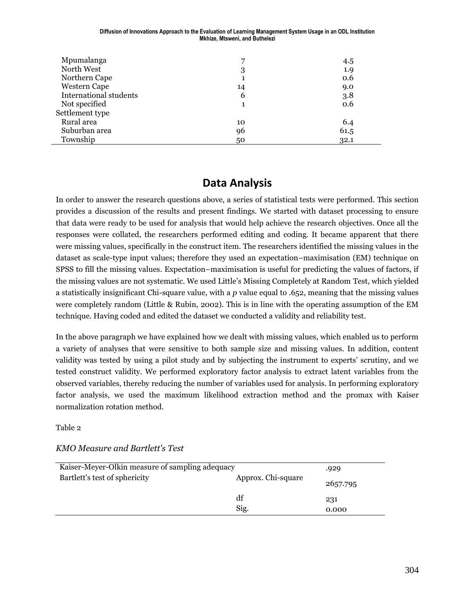#### **Diffusion of Innovations Approach to the Evaluation of Learning Management System Usage in an ODL Institution Mkhize, Mtsweni, and Buthelezi**

| 4.5<br>1.9<br>0.6<br>9.0<br>3.8<br>0.6<br>6.4<br>61.5<br>32.1 |
|---------------------------------------------------------------|

### **Data Analysis**

In order to answer the research questions above, a series of statistical tests were performed. This section provides a discussion of the results and present findings. We started with dataset processing to ensure that data were ready to be used for analysis that would help achieve the research objectives. Once all the responses were collated, the researchers performed editing and coding. It became apparent that there were missing values, specifically in the construct item. The researchers identified the missing values in the dataset as scale-type input values; therefore they used an expectation–maximisation (EM) technique on SPSS to fill the missing values. Expectation–maximisation is useful for predicting the values of factors, if the missing values are not systematic. We used Little's Missing Completely at Random Test, which yielded a statistically insignificant Chi-square value, with a *p* value equal to .652, meaning that the missing values were completely random (Little & Rubin, 2002). This is in line with the operating assumption of the EM technique. Having coded and edited the dataset we conducted a validity and reliability test.

In the above paragraph we have explained how we dealt with missing values, which enabled us to perform a variety of analyses that were sensitive to both sample size and missing values. In addition, content validity was tested by using a pilot study and by subjecting the instrument to experts' scrutiny, and we tested construct validity. We performed exploratory factor analysis to extract latent variables from the observed variables, thereby reducing the number of variables used for analysis. In performing exploratory factor analysis, we used the maximum likelihood extraction method and the promax with Kaiser normalization rotation method.

#### Table 2

#### *KMO Measure and Bartlett's Test*

| Kaiser-Meyer-Olkin measure of sampling adequacy | .929               |          |
|-------------------------------------------------|--------------------|----------|
| Bartlett's test of sphericity                   | Approx. Chi-square | 2657.795 |
|                                                 | df                 | 231      |
|                                                 | Sig.               | 0.000    |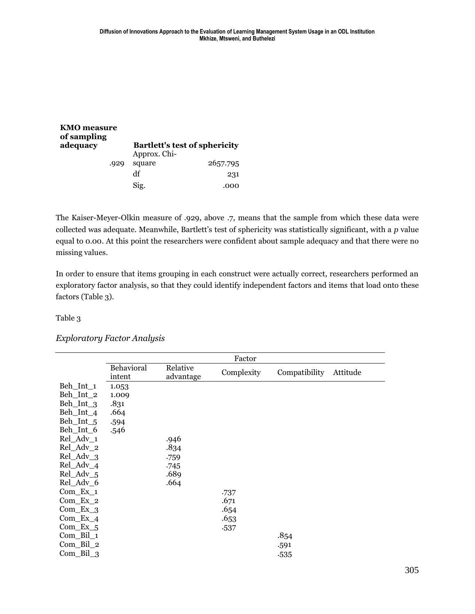| KMO measure<br>of sampling |              |                                      |
|----------------------------|--------------|--------------------------------------|
| adequacy                   |              | <b>Bartlett's test of sphericity</b> |
|                            | Approx. Chi- |                                      |
| .929                       | square       | 2657.795                             |
|                            | df           | 231                                  |
|                            | Sig.         | .000                                 |

The Kaiser-Meyer-Olkin measure of .929, above .7, means that the sample from which these data were collected was adequate. Meanwhile, Bartlett's test of sphericity was statistically significant, with a *p* value equal to 0.00. At this point the researchers were confident about sample adequacy and that there were no missing values.

In order to ensure that items grouping in each construct were actually correct, researchers performed an exploratory factor analysis, so that they could identify independent factors and items that load onto these factors (Table 3).

Table 3

#### *Exploratory Factor Analysis*

|               |                      |                       | Factor     |               |          |
|---------------|----------------------|-----------------------|------------|---------------|----------|
|               | Behavioral<br>intent | Relative<br>advantage | Complexity | Compatibility | Attitude |
| Beh_Int_1     | 1.053                |                       |            |               |          |
| Beh_Int_2     | 1.009                |                       |            |               |          |
| Beh_Int_3     | .831                 |                       |            |               |          |
| Beh_Int_4     | .664                 |                       |            |               |          |
| Beh_Int_5     | .594                 |                       |            |               |          |
| Beh_Int_6     | .546                 |                       |            |               |          |
| Rel_Adv_1     |                      | .946                  |            |               |          |
| Rel Adv 2     |                      | .834                  |            |               |          |
| Rel_Adv_3     |                      | .759                  |            |               |          |
| Rel_Adv_4     |                      | .745                  |            |               |          |
| Rel_Adv_5     |                      | .689                  |            |               |          |
| Rel_Adv_6     |                      | .664                  |            |               |          |
| $Com\_Ex_1$   |                      |                       | .737       |               |          |
| $Com\_Ex_2$   |                      |                       | .671       |               |          |
| $Com\_Ex_3$   |                      |                       | .654       |               |          |
| $Com\_Ex_4$   |                      |                       | .653       |               |          |
| $Com\_Ex\_5$  |                      |                       | .537       |               |          |
| $Com\_Bil\_1$ |                      |                       |            | .854          |          |
| $Com$ _Bil_2  |                      |                       |            | .591          |          |
| $Com\_Bil\_3$ |                      |                       |            | $-535$        |          |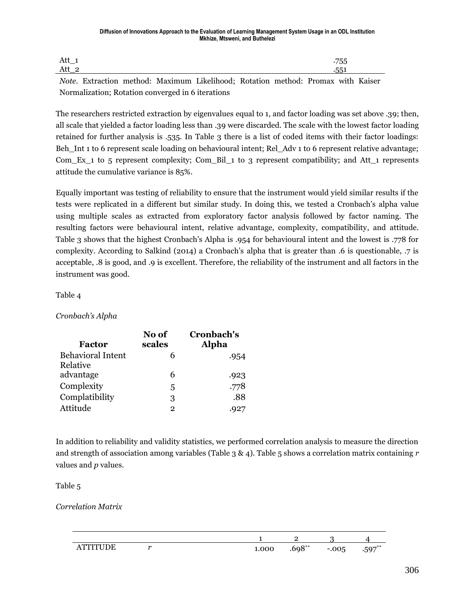| $\mathbf{u}_{-1}$ | 755 |
|-------------------|-----|
| c<br>ALL          | --- |

*Note*. Extraction method: Maximum Likelihood; Rotation method: Promax with Kaiser Normalization; Rotation converged in 6 iterations

The researchers restricted extraction by eigenvalues equal to 1, and factor loading was set above .39; then, all scale that yielded a factor loading less than .39 were discarded. The scale with the lowest factor loading retained for further analysis is .535. In Table 3 there is a list of coded items with their factor loadings: Beh\_Int 1 to 6 represent scale loading on behavioural intent; Rel\_Adv 1 to 6 represent relative advantage; Com\_Ex\_1 to 5 represent complexity; Com\_Bil\_1 to 3 represent compatibility; and Att\_1 represents attitude the cumulative variance is 85%.

Equally important was testing of reliability to ensure that the instrument would yield similar results if the tests were replicated in a different but similar study. In doing this, we tested a Cronbach's alpha value using multiple scales as extracted from exploratory factor analysis followed by factor naming. The resulting factors were behavioural intent, relative advantage, complexity, compatibility, and attitude. Table 3 shows that the highest Cronbach's Alpha is .954 for behavioural intent and the lowest is .778 for complexity. According to Salkind (2014) a Cronbach's alpha that is greater than .6 is questionable, .7 is acceptable, .8 is good, and .9 is excellent. Therefore, the reliability of the instrument and all factors in the instrument was good.

Table 4

*Cronbach's Alpha*

| No of<br>scales | Cronbach's<br><b>Alpha</b> |
|-----------------|----------------------------|
|                 | .954                       |
|                 |                            |
| 6               | .923                       |
| 5               | .778                       |
| 3               | .88                        |
| 2               |                            |
|                 |                            |

In addition to reliability and validity statistics, we performed correlation analysis to measure the direction and strength of association among variables (Table 3 & 4). Table 5 shows a correlation matrix containing *r* values and *p* values.

Table 5

*Correlation Matrix*

| ITHIDE | $\sim$ | $.698**$<br>1.000 | 005<br>$\sim$ | $507**$ |
|--------|--------|-------------------|---------------|---------|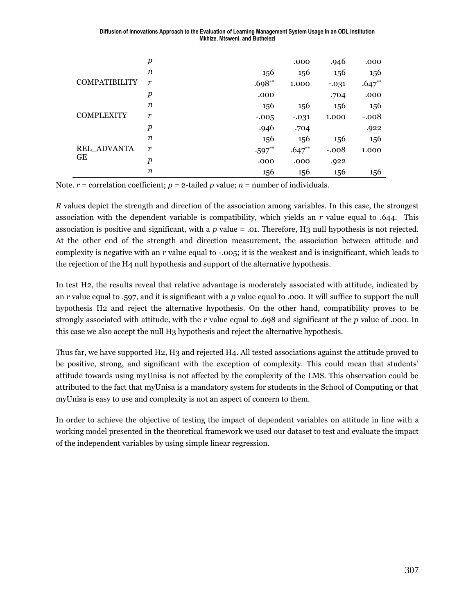#### **Diffusion of Innovations Approach to the Evaluation of Learning Management System Usage in an ODL Institution Mkhize, Mtsweni, and Buthelezi**

|                      | $\boldsymbol{p}$ |           | .000     |         | .000     |
|----------------------|------------------|-----------|----------|---------|----------|
|                      |                  |           |          | .946    |          |
|                      | n                | 156       | 156      | 156     | 156      |
| <b>COMPATIBILITY</b> | $\boldsymbol{r}$ | $.698**$  | 1.000    | $-.031$ | $.647**$ |
|                      | $\boldsymbol{p}$ | .000      |          | .704    | .000     |
|                      | n                | 156       | 156      | 156     | 156      |
| <b>COMPLEXITY</b>    | r                | $-.005$   | $-.031$  | 1.000   | $-.008$  |
|                      | $\boldsymbol{p}$ | .946      | .704     |         | .922     |
|                      | n                | 156       | 156      | 156     | 156      |
| <b>REL_ADVANTA</b>   | $\boldsymbol{r}$ | $.597***$ | $.647**$ | $-.008$ | 1.000    |
| <b>GE</b>            | p                | .000      | .000     | .922    |          |
|                      | n                | 156       | 156      | 156     | 156      |

Note.  $r =$  correlation coefficient;  $p =$  2-tailed  $p$  value;  $n =$  number of individuals.

*R* values depict the strength and direction of the association among variables. In this case, the strongest association with the dependent variable is compatibility, which yields an *r* value equal to .644. This association is positive and significant, with a *p* value = .01. Therefore, H3 null hypothesis is not rejected. At the other end of the strength and direction measurement, the association between attitude and complexity is negative with an *r* value equal to -.005; it is the weakest and is insignificant, which leads to the rejection of the H4 null hypothesis and support of the alternative hypothesis.

In test H2, the results reveal that relative advantage is moderately associated with attitude, indicated by an *r* value equal to .597, and it is significant with a *p* value equal to .000. It will suffice to support the null hypothesis H2 and reject the alternative hypothesis. On the other hand, compatibility proves to be strongly associated with attitude, with the *r* value equal to .698 and significant at the *p* value of .000. In this case we also accept the null H3 hypothesis and reject the alternative hypothesis.

Thus far, we have supported H2, H3 and rejected H4. All tested associations against the attitude proved to be positive, strong, and significant with the exception of complexity. This could mean that students' attitude towards using myUnisa is not affected by the complexity of the LMS. This observation could be attributed to the fact that myUnisa is a mandatory system for students in the School of Computing or that myUnisa is easy to use and complexity is not an aspect of concern to them.

In order to achieve the objective of testing the impact of dependent variables on attitude in line with a working model presented in the theoretical framework we used our dataset to test and evaluate the impact of the independent variables by using simple linear regression.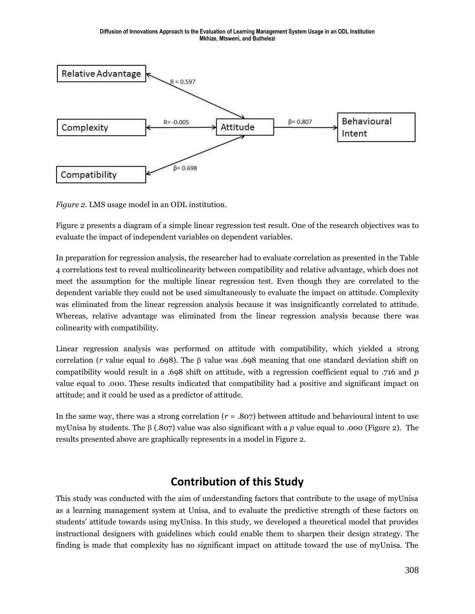

*Figure 2.* LMS usage model in an ODL institution.

Figure 2 presents a diagram of a simple linear regression test result. One of the research objectives was to evaluate the impact of independent variables on dependent variables.

In preparation for regression analysis, the researcher had to evaluate correlation as presented in the Table 4 correlations test to reveal multicolinearity between compatibility and relative advantage, which does not meet the assumption for the multiple linear regression test. Even though they are correlated to the dependent variable they could not be used simultaneously to evaluate the impact on attitude. Complexity was eliminated from the linear regression analysis because it was insignificantly correlated to attitude. Whereas, relative advantage was eliminated from the linear regression analysis because there was colinearity with compatibility.

Linear regression analysis was performed on attitude with compatibility, which yielded a strong correlation (*r* value equal to .698). The  $\beta$  value was .698 meaning that one standard deviation shift on compatibility would result in a .698 shift on attitude, with a regression coefficient equal to .716 and *p* value equal to .000. These results indicated that compatibility had a positive and significant impact on attitude; and it could be used as a predictor of attitude.

In the same way, there was a strong correlation (*r* = .807) between attitude and behavioural intent to use myUnisa by students. The  $\beta$  (.807) value was also significant with a *p* value equal to .000 (Figure 2). The results presented above are graphically represents in a model in Figure 2.

## **Contribution of this Study**

This study was conducted with the aim of understanding factors that contribute to the usage of myUnisa as a learning management system at Unisa, and to evaluate the predictive strength of these factors on students' attitude towards using myUnisa. In this study, we developed a theoretical model that provides instructional designers with guidelines which could enable them to sharpen their design strategy. The finding is made that complexity has no significant impact on attitude toward the use of myUnisa. The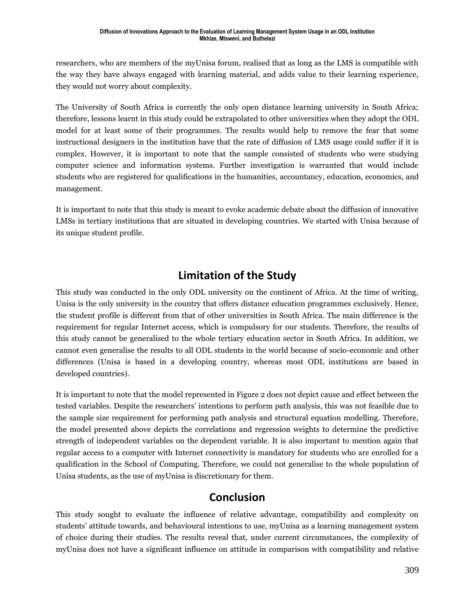researchers, who are members of the myUnisa forum, realised that as long as the LMS is compatible with the way they have always engaged with learning material, and adds value to their learning experience, they would not worry about complexity.

The University of South Africa is currently the only open distance learning university in South Africa; therefore, lessons learnt in this study could be extrapolated to other universities when they adopt the ODL model for at least some of their programmes. The results would help to remove the fear that some instructional designers in the institution have that the rate of diffusion of LMS usage could suffer if it is complex. However, it is important to note that the sample consisted of students who were studying computer science and information systems. Further investigation is warranted that would include students who are registered for qualifications in the humanities, accountancy, education, economics, and management.

It is important to note that this study is meant to evoke academic debate about the diffusion of innovative LMSs in tertiary institutions that are situated in developing countries. We started with Unisa because of its unique student profile.

# **Limitation of the Study**

This study was conducted in the only ODL university on the continent of Africa. At the time of writing, Unisa is the only university in the country that offers distance education programmes exclusively. Hence, the student profile is different from that of other universities in South Africa. The main difference is the requirement for regular Internet access, which is compulsory for our students. Therefore, the results of this study cannot be generalised to the whole tertiary education sector in South Africa. In addition, we cannot even generalise the results to all ODL students in the world because of socio-economic and other differences (Unisa is based in a developing country, whereas most ODL institutions are based in developed countries).

It is important to note that the model represented in Figure 2 does not depict cause and effect between the tested variables. Despite the researchers' intentions to perform path analysis, this was not feasible due to the sample size requirement for performing path analysis and structural equation modelling. Therefore, the model presented above depicts the correlations and regression weights to determine the predictive strength of independent variables on the dependent variable. It is also important to mention again that regular access to a computer with Internet connectivity is mandatory for students who are enrolled for a qualification in the School of Computing. Therefore, we could not generalise to the whole population of Unisa students, as the use of myUnisa is discretionary for them.

# **Conclusion**

This study sought to evaluate the influence of relative advantage, compatibility and complexity on students' attitude towards, and behavioural intentions to use, myUnisa as a learning management system of choice during their studies. The results reveal that, under current circumstances, the complexity of myUnisa does not have a significant influence on attitude in comparison with compatibility and relative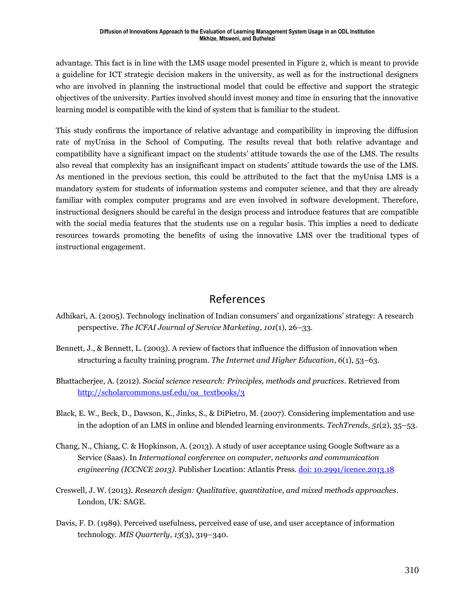advantage. This fact is in line with the LMS usage model presented in Figure 2, which is meant to provide a guideline for ICT strategic decision makers in the university, as well as for the instructional designers who are involved in planning the instructional model that could be effective and support the strategic objectives of the university. Parties involved should invest money and time in ensuring that the innovative learning model is compatible with the kind of system that is familiar to the student.

This study confirms the importance of relative advantage and compatibility in improving the diffusion rate of myUnisa in the School of Computing. The results reveal that both relative advantage and compatibility have a significant impact on the students' attitude towards the use of the LMS. The results also reveal that complexity has an insignificant impact on students' attitude towards the use of the LMS. As mentioned in the previous section, this could be attributed to the fact that the myUnisa LMS is a mandatory system for students of information systems and computer science, and that they are already familiar with complex computer programs and are even involved in software development. Therefore, instructional designers should be careful in the design process and introduce features that are compatible with the social media features that the students use on a regular basis. This implies a need to dedicate resources towards promoting the benefits of using the innovative LMS over the traditional types of instructional engagement.

### References

- Adhikari, A. (2005). Technology inclination of Indian consumers' and organizations' strategy: A research perspective. *The ICFAI Journal of Service Marketing*, *101*(1), 26–33.
- Bennett, J., & Bennett, L. (2003). A review of factors that influence the diffusion of innovation when structuring a faculty training program. *The Internet and Higher Education*, *6*(1), 53–63.
- Bhattacherjee, A. (2012). *Social science research: Principles, methods and practices*. Retrieved from [http://scholarcommons.usf.edu/oa\\_textbooks/3](http://scholarcommons.usf.edu/oa_textbooks/3)
- Black, E. W., Beck, D., Dawson, K., Jinks, S., & DiPietro, M. (2007). Considering implementation and use in the adoption of an LMS in online and blended learning environments. *TechTrends*, *51*(2), 35–53.
- Chang, N., Chiang, C. & Hopkinson, A. (2013). A study of user acceptance using Google Software as a Service (Saas). In *International conference on computer, networks and communication engineering (ICCNCE 2013)*. Publisher Location: Atlantis Press. [doi: 10.2991/icence.2013.18](doi:%2010.2991/icence.2013.18)
- Creswell, J. W. (2013). *Research design: Qualitative, quantitative, and mixed methods approaches*. London, UK: SAGE.
- Davis, F. D. (1989). Perceived usefulness, perceived ease of use, and user acceptance of information technology. *MIS Quarterly*, *13*(3), 319–340.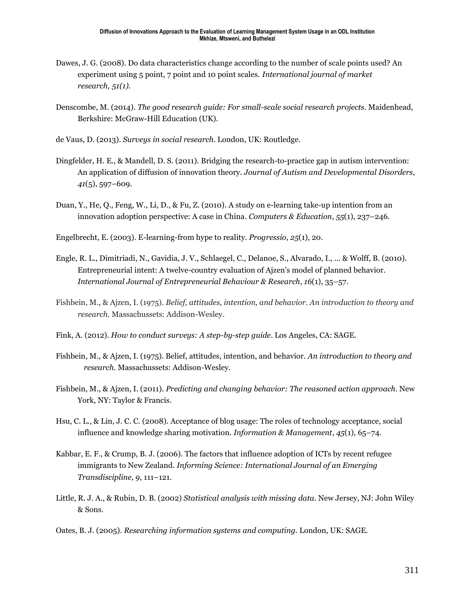- Dawes, J. G. (2008). Do data characteristics change according to the number of scale points used? An experiment using 5 point, 7 point and 10 point scales. *International journal of market research, 51(1).*
- Denscombe, M. (2014). *The good research guide: For small-scale social research projects*. Maidenhead, Berkshire: McGraw-Hill Education (UK).
- de Vaus, D. (2013). *Surveys in social research*. London, UK: Routledge.
- Dingfelder, H. E., & Mandell, D. S. (2011). Bridging the research-to-practice gap in autism intervention: An application of diffusion of innovation theory. *Journal of Autism and Developmental Disorders*, *41*(5), 597–609.
- Duan, Y., He, Q., Feng, W., Li, D., & Fu, Z. (2010). A study on e-learning take-up intention from an innovation adoption perspective: A case in China. *Computers & Education*, *55*(1), 237–246.
- Engelbrecht, E. (2003). E-learning-from hype to reality. *Progressio*, *25*(1), 20.
- Engle, R. L., Dimitriadi, N., Gavidia, J. V., Schlaegel, C., Delanoe, S., Alvarado, I., ... & Wolff, B. (2010). Entrepreneurial intent: A twelve-country evaluation of Ajzen's model of planned behavior. *International Journal of Entrepreneurial Behaviour & Research*, *16*(1), 35–57.
- Fishbein, M., & Ajzen, I. (1975). *Belief, attitudes, intention, and behavior. An introduction to theory and research.* Massachussets: Addison-Wesley.
- Fink, A. (2012). *How to conduct surveys: A step-by-step guide*. Los Angeles, CA: SAGE.
- Fishbein, M., & Ajzen, I. (1975). Belief, attitudes, intention, and behavior. *An introduction to theory and research.* Massachussets: Addison-Wesley.
- Fishbein, M., & Ajzen, I. (2011). *Predicting and changing behavior: The reasoned action approach*. New York, NY: Taylor & Francis.
- Hsu, C. L., & Lin, J. C. C. (2008). Acceptance of blog usage: The roles of technology acceptance, social influence and knowledge sharing motivation. *Information & Management*, *45*(1), 65–74.
- Kabbar, E. F., & Crump, B. J. (2006). The factors that influence adoption of ICTs by recent refugee immigrants to New Zealand. *Informing Science: International Journal of an Emerging Transdiscipline*, *9*, 111–121.
- Little, R. J. A., & Rubin, D. B. (2002) *Statistical analysis with missing data.* New Jersey, NJ: John Wiley & Sons.
- Oates, B. J. (2005). *Researching information systems and computing.* London, UK: SAGE.